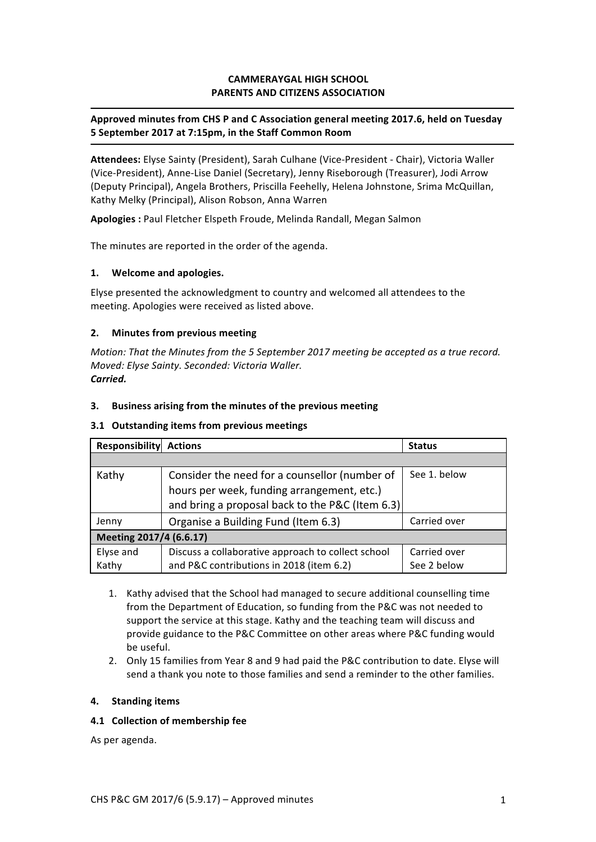## **CAMMERAYGAL HIGH SCHOOL PARENTS AND CITIZENS ASSOCIATION**

## Approved minutes from CHS P and C Association general meeting 2017.6, held on Tuesday **5 September 2017 at 7:15pm, in the Staff Common Room**

Attendees: Elyse Sainty (President), Sarah Culhane (Vice-President - Chair), Victoria Waller (Vice-President), Anne-Lise Daniel (Secretary), Jenny Riseborough (Treasurer), Jodi Arrow (Deputy Principal), Angela Brothers, Priscilla Feehelly, Helena Johnstone, Srima McQuillan, Kathy Melky (Principal), Alison Robson, Anna Warren

Apologies : Paul Fletcher Elspeth Froude, Melinda Randall, Megan Salmon

The minutes are reported in the order of the agenda.

### **1. Welcome and apologies.**

Elyse presented the acknowledgment to country and welcomed all attendees to the meeting. Apologies were received as listed above.

#### **2.** Minutes from previous meeting

*Motion: That the Minutes from the 5 September 2017 meeting be accepted as a true record. Moved: Elyse Sainty. Seconded: Victoria Waller. Carried.*

#### **3.** Business arising from the minutes of the previous meeting

#### **3.1 Outstanding items from previous meetings**

| Responsibility          | <b>Actions</b>                                     | <b>Status</b> |
|-------------------------|----------------------------------------------------|---------------|
|                         |                                                    |               |
| Kathy                   | Consider the need for a counsellor (number of      | See 1. below  |
|                         | hours per week, funding arrangement, etc.)         |               |
|                         | and bring a proposal back to the P&C (Item 6.3)    |               |
| Jenny                   | Organise a Building Fund (Item 6.3)                | Carried over  |
| Meeting 2017/4 (6.6.17) |                                                    |               |
| Elyse and               | Discuss a collaborative approach to collect school | Carried over  |
| Kathy                   | and P&C contributions in 2018 (item 6.2)           | See 2 below   |

- 1. Kathy advised that the School had managed to secure additional counselling time from the Department of Education, so funding from the P&C was not needed to support the service at this stage. Kathy and the teaching team will discuss and provide guidance to the P&C Committee on other areas where P&C funding would be useful.
- 2. Only 15 families from Year 8 and 9 had paid the P&C contribution to date. Elyse will send a thank you note to those families and send a reminder to the other families.

#### **4. Standing items**

### **4.1 Collection of membership fee**

As per agenda.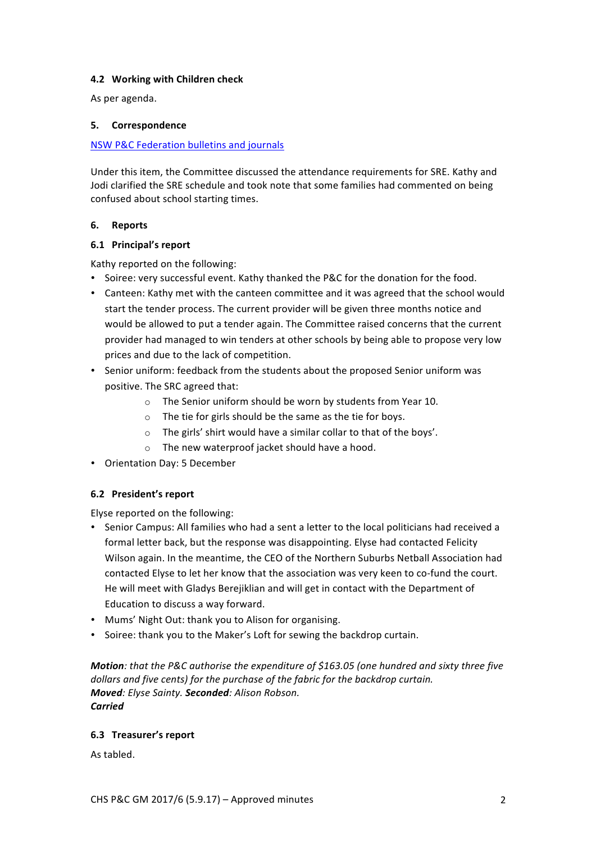### **4.2 Working with Children check**

As per agenda.

## **5. Correspondence**

## NSW P&C Federation bulletins and journals

Under this item, the Committee discussed the attendance requirements for SRE. Kathy and Jodi clarified the SRE schedule and took note that some families had commented on being confused about school starting times.

## **6. Reports**

## **6.1 Principal's report**

Kathy reported on the following:

- Soiree: very successful event. Kathy thanked the P&C for the donation for the food.
- Canteen: Kathy met with the canteen committee and it was agreed that the school would start the tender process. The current provider will be given three months notice and would be allowed to put a tender again. The Committee raised concerns that the current provider had managed to win tenders at other schools by being able to propose very low prices and due to the lack of competition.
- Senior uniform: feedback from the students about the proposed Senior uniform was positive. The SRC agreed that:
	- $\circ$  The Senior uniform should be worn by students from Year 10.
	- $\circ$  The tie for girls should be the same as the tie for boys.
	- $\circ$  The girls' shirt would have a similar collar to that of the boys'.
	- $\circ$  The new waterproof jacket should have a hood.
- Orientation Day: 5 December

# **6.2 President's report**

Elyse reported on the following:

- Senior Campus: All families who had a sent a letter to the local politicians had received a formal letter back, but the response was disappointing. Elyse had contacted Felicity Wilson again. In the meantime, the CEO of the Northern Suburbs Netball Association had contacted Elyse to let her know that the association was very keen to co-fund the court. He will meet with Gladys Berejiklian and will get in contact with the Department of Education to discuss a way forward.
- Mums' Night Out: thank you to Alison for organising.
- Soiree: thank you to the Maker's Loft for sewing the backdrop curtain.

*Motion:* that the P&C authorise the expenditure of \$163.05 (one hundred and sixty three five dollars and five cents) for the purchase of the fabric for the backdrop curtain. *Moved: Elyse Sainty. Seconded: Alison Robson. Carried*

# **6.3 Treasurer's report**

As tabled.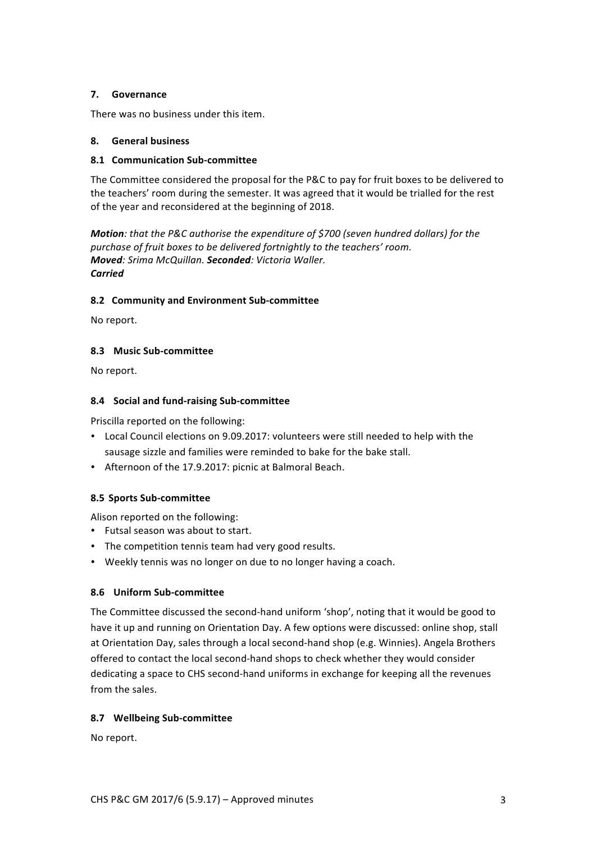### **7. Governance**

There was no business under this item.

## **8. General business**

## **8.1 Communication Sub-committee**

The Committee considered the proposal for the P&C to pay for fruit boxes to be delivered to the teachers' room during the semester. It was agreed that it would be trialled for the rest of the year and reconsidered at the beginning of 2018.

*Motion:* that the P&C authorise the expenditure of \$700 (seven hundred dollars) for the purchase of fruit boxes to be delivered fortnightly to the teachers' room. *Moved: Srima McQuillan. Seconded: Victoria Waller. Carried*

# **8.2 Community and Environment Sub-committee**

No report.

## **8.3 Music Sub-committee**

No report.

## **8.4 Social and fund-raising Sub-committee**

Priscilla reported on the following:

- Local Council elections on 9.09.2017: volunteers were still needed to help with the sausage sizzle and families were reminded to bake for the bake stall.
- Afternoon of the 17.9.2017: picnic at Balmoral Beach.

# **8.5 Sports Sub-committee**

Alison reported on the following:

- Futsal season was about to start.
- The competition tennis team had very good results.
- Weekly tennis was no longer on due to no longer having a coach.

# **8.6 Uniform Sub-committee**

The Committee discussed the second-hand uniform 'shop', noting that it would be good to have it up and running on Orientation Day. A few options were discussed: online shop, stall at Orientation Day, sales through a local second-hand shop (e.g. Winnies). Angela Brothers offered to contact the local second-hand shops to check whether they would consider dedicating a space to CHS second-hand uniforms in exchange for keeping all the revenues from the sales.

# **8.7 Wellbeing Sub-committee**

No report.